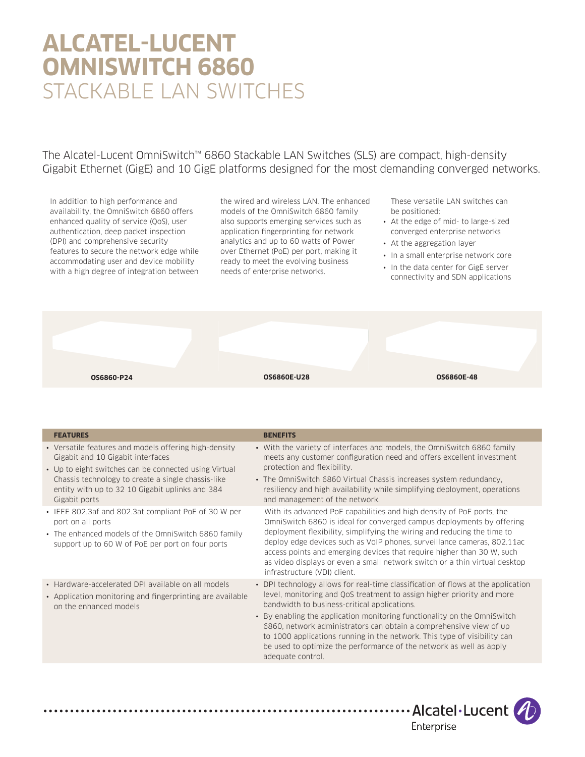# **ALCATEL-LUCENT OMNISWITCH 6860** STACKABLE LAN SWITCHES

The Alcatel-Lucent OmniSwitch™ 6860 Stackable LAN Switches (SLS) are compact, high-density Gigabit Ethernet (GigE) and 10 GigE platforms designed for the most demanding converged networks.

In addition to high performance and availability, the OmniSwitch 6860 offers enhanced quality of service (QoS), user authentication, deep packet inspection (DPI) and comprehensive security features to secure the network edge while accommodating user and device mobility with a high degree of integration between

. . . . . . . . . .

the wired and wireless LAN. The enhanced models of the OmniSwitch 6860 family also supports emerging services such as application fingerprinting for network analytics and up to 60 watts of Power over Ethernet (PoE) per port, making it ready to meet the evolving business needs of enterprise networks.

These versatile LAN switches can be positioned:

- At the edge of mid- to large-sized converged enterprise networks
- At the aggregation layer
- In a small enterprise network core
- In the data center for GigE server connectivity and SDN applications



| Gigabit and 10 Gigabit interfaces<br>• Up to eight switches can be connected using Virtual<br>Chassis technology to create a single chassis-like<br>entity with up to 32 10 Gigabit uplinks and 384<br>Gigabit ports | meets any customer configuration need and offers excellent investment<br>protection and flexibility.<br>• The OmniSwitch 6860 Virtual Chassis increases system redundancy.<br>resiliency and high availability while simplifying deployment, operations<br>and management of the network.                                                                                                                                                                                                                                            |
|----------------------------------------------------------------------------------------------------------------------------------------------------------------------------------------------------------------------|--------------------------------------------------------------------------------------------------------------------------------------------------------------------------------------------------------------------------------------------------------------------------------------------------------------------------------------------------------------------------------------------------------------------------------------------------------------------------------------------------------------------------------------|
| • IEEE 802.3af and 802.3at compliant PoE of 30 W per<br>port on all ports<br>• The enhanced models of the OmniSwitch 6860 family<br>support up to 60 W of PoE per port on four ports                                 | With its advanced PoE capabilities and high density of PoE ports, the<br>OmniSwitch 6860 is ideal for converged campus deployments by offering<br>deployment flexibility, simplifying the wiring and reducing the time to<br>deploy edge devices such as VoIP phones, surveillance cameras, 802.11ac<br>access points and emerging devices that require higher than 30 W, such<br>as video displays or even a small network switch or a thin virtual desktop<br>infrastructure (VDI) client.                                         |
| • Hardware-accelerated DPI available on all models<br>• Application monitoring and fingerprinting are available<br>on the enhanced models                                                                            | • DPI technology allows for real-time classification of flows at the application<br>level, monitoring and QoS treatment to assign higher priority and more<br>bandwidth to business-critical applications.<br>• By enabling the application monitoring functionality on the OmniSwitch<br>6860, network administrators can obtain a comprehensive view of up<br>to 1000 applications running in the network. This type of visibility can<br>be used to optimize the performance of the network as well as apply<br>adequate control. |

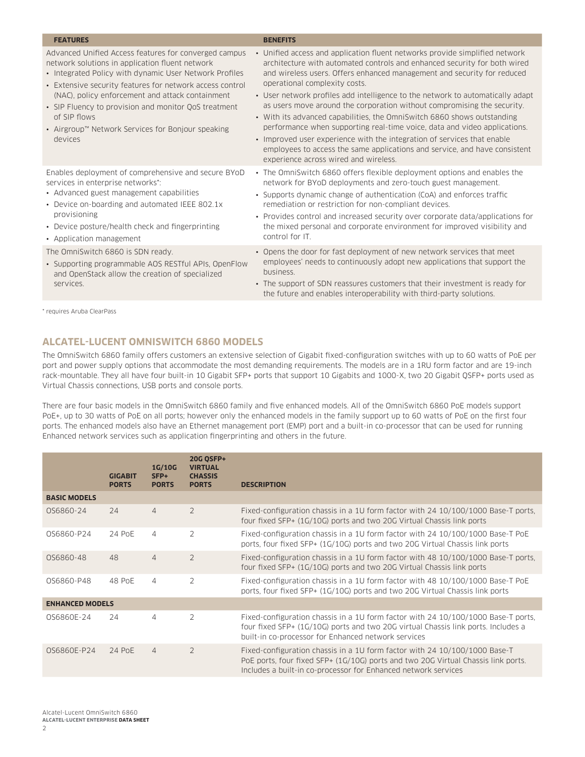| <b>FEATURES</b>                                                                                                                                                                                                                                                                                                                                                                                                            | <b>BENEFITS</b>                                                                                                                                                                                                                                                                                                                                                                                                                                                                                                                                                                                                                                                                                                                                                                             |
|----------------------------------------------------------------------------------------------------------------------------------------------------------------------------------------------------------------------------------------------------------------------------------------------------------------------------------------------------------------------------------------------------------------------------|---------------------------------------------------------------------------------------------------------------------------------------------------------------------------------------------------------------------------------------------------------------------------------------------------------------------------------------------------------------------------------------------------------------------------------------------------------------------------------------------------------------------------------------------------------------------------------------------------------------------------------------------------------------------------------------------------------------------------------------------------------------------------------------------|
| Advanced Unified Access features for converged campus<br>network solutions in application fluent network<br>• Integrated Policy with dynamic User Network Profiles<br>• Extensive security features for network access control<br>(NAC), policy enforcement and attack containment<br>• SIP Fluency to provision and monitor QoS treatment<br>of SIP flows<br>• Airgroup™ Network Services for Bonjour speaking<br>devices | • Unified access and application fluent networks provide simplified network<br>architecture with automated controls and enhanced security for both wired<br>and wireless users. Offers enhanced management and security for reduced<br>operational complexity costs.<br>• User network profiles add intelligence to the network to automatically adapt<br>as users move around the corporation without compromising the security.<br>• With its advanced capabilities, the OmniSwitch 6860 shows outstanding<br>performance when supporting real-time voice, data and video applications.<br>• Improved user experience with the integration of services that enable<br>employees to access the same applications and service, and have consistent<br>experience across wired and wireless. |
| Enables deployment of comprehensive and secure BYoD<br>services in enterprise networks*:<br>• Advanced guest management capabilities<br>• Device on-boarding and automated IEEE 802.1x<br>provisioning<br>• Device posture/health check and fingerprinting<br>• Application management                                                                                                                                     | • The OmniSwitch 6860 offers flexible deployment options and enables the<br>network for BYoD deployments and zero-touch guest management.<br>• Supports dynamic change of authentication (CoA) and enforces traffic<br>remediation or restriction for non-compliant devices.<br>• Provides control and increased security over corporate data/applications for<br>the mixed personal and corporate environment for improved visibility and<br>control for IT.                                                                                                                                                                                                                                                                                                                               |
| The OmniSwitch 6860 is SDN ready.<br>• Supporting programmable AOS RESTful APIs, OpenFlow<br>and OpenStack allow the creation of specialized<br>services.                                                                                                                                                                                                                                                                  | • Opens the door for fast deployment of new network services that meet<br>employees' needs to continuously adopt new applications that support the<br>business.<br>• The support of SDN reassures customers that their investment is ready for<br>the future and enables interoperability with third-party solutions.                                                                                                                                                                                                                                                                                                                                                                                                                                                                       |

\* requires Aruba ClearPass

# **ALCATEL-LUCENT OMNISWITCH 6860 MODELS**

The OmniSwitch 6860 family offers customers an extensive selection of Gigabit fixed-configuration switches with up to 60 watts of PoE per port and power supply options that accommodate the most demanding requirements. The models are in a 1RU form factor and are 19-inch rack-mountable. They all have four built-in 10 Gigabit SFP+ ports that support 10 Gigabits and 1000-X, two 20 Gigabit QSFP+ ports used as Virtual Chassis connections, USB ports and console ports.

There are four basic models in the OmniSwitch 6860 family and five enhanced models. All of the OmniSwitch 6860 PoE models support PoE+, up to 30 watts of PoE on all ports; however only the enhanced models in the family support up to 60 watts of PoE on the first four ports. The enhanced models also have an Ethernet management port (EMP) port and a built-in co-processor that can be used for running Enhanced network services such as application fingerprinting and others in the future.

|                        | <b>GIGABIT</b><br><b>PORTS</b> | <b>1G/10G</b><br>SFP+<br><b>PORTS</b> | <b>20G QSFP+</b><br><b>VIRTUAL</b><br><b>CHASSIS</b><br><b>PORTS</b> | <b>DESCRIPTION</b>                                                                                                                                                                                                                |
|------------------------|--------------------------------|---------------------------------------|----------------------------------------------------------------------|-----------------------------------------------------------------------------------------------------------------------------------------------------------------------------------------------------------------------------------|
| <b>BASIC MODELS</b>    |                                |                                       |                                                                      |                                                                                                                                                                                                                                   |
| OS6860-24              | 24                             | $\overline{4}$                        | $\overline{2}$                                                       | Fixed-configuration chassis in a 1U form factor with 24 10/100/1000 Base-T ports.<br>four fixed SFP+ (1G/10G) ports and two 20G Virtual Chassis link ports                                                                        |
| 0S6860-P24             | 24 PoE                         | $\overline{4}$                        | $\overline{2}$                                                       | Fixed-configuration chassis in a 1U form factor with 24 10/100/1000 Base-T PoE<br>ports, four fixed SFP+ (1G/10G) ports and two 20G Virtual Chassis link ports                                                                    |
| OS6860-48              | 48                             | $\overline{4}$                        | 2                                                                    | Fixed-configuration chassis in a 1U form factor with 48 10/100/1000 Base-T ports.<br>four fixed SFP+ (1G/10G) ports and two 20G Virtual Chassis link ports                                                                        |
| OS6860-P48             | 48 PoE                         | $\overline{4}$                        | $\overline{2}$                                                       | Fixed-configuration chassis in a 1U form factor with 48 10/100/1000 Base-T PoE<br>ports, four fixed SFP+ (1G/10G) ports and two 20G Virtual Chassis link ports                                                                    |
| <b>ENHANCED MODELS</b> |                                |                                       |                                                                      |                                                                                                                                                                                                                                   |
| OS6860E-24             | 24                             | 4                                     | $\overline{2}$                                                       | Fixed-configuration chassis in a 1U form factor with 24 10/100/1000 Base-T ports.<br>four fixed SFP+ (1G/10G) ports and two 20G virtual Chassis link ports. Includes a<br>built-in co-processor for Enhanced network services     |
| OS6860E-P24            | 24 PoE                         | $\overline{4}$                        | $\mathcal{P}$                                                        | Fixed-configuration chassis in a 1U form factor with 24 10/100/1000 Base-T<br>PoE ports, four fixed SFP+ (1G/10G) ports and two 20G Virtual Chassis link ports.<br>Includes a built-in co-processor for Enhanced network services |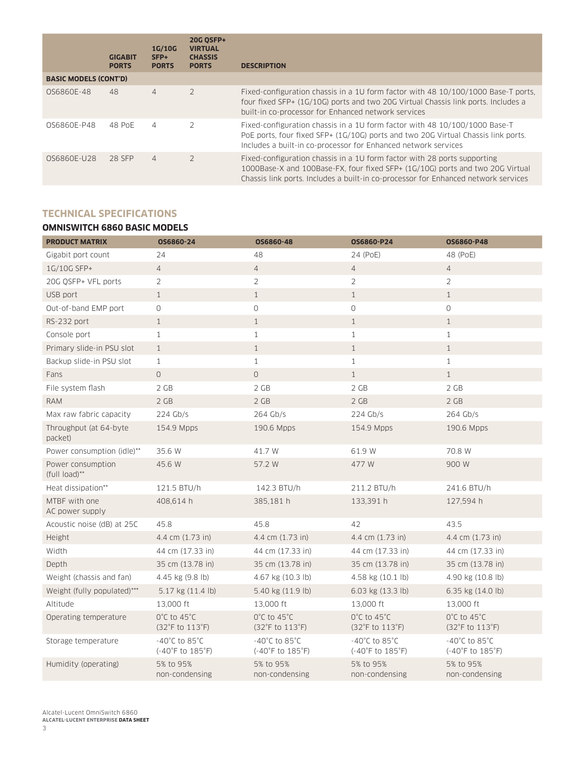|                              | <b>GIGABIT</b><br><b>PORTS</b> | 1G/10G<br>SFP+<br><b>PORTS</b> | <b>20G OSFP+</b><br><b>VIRTUAL</b><br><b>CHASSIS</b><br><b>PORTS</b> | <b>DESCRIPTION</b>                                                                                                                                                                                                                              |
|------------------------------|--------------------------------|--------------------------------|----------------------------------------------------------------------|-------------------------------------------------------------------------------------------------------------------------------------------------------------------------------------------------------------------------------------------------|
| <b>BASIC MODELS (CONT'D)</b> |                                |                                |                                                                      |                                                                                                                                                                                                                                                 |
| 0S6860E-48                   | 48                             | $\overline{4}$                 | $\mathcal{P}$                                                        | Fixed-configuration chassis in a 10 form factor with 48 10/100/1000 Base-T ports.<br>four fixed SFP+ (1G/10G) ports and two 20G Virtual Chassis link ports. Includes a<br>built-in co-processor for Enhanced network services                   |
| 0S6860E-P48                  | 48 PoE                         | 4                              | $\mathcal{P}$                                                        | Fixed-configuration chassis in a 1U form factor with 48 10/100/1000 Base-T<br>PoE ports, four fixed SFP+ (1G/10G) ports and two 20G Virtual Chassis link ports.<br>Includes a built-in co-processor for Enhanced network services               |
| 0S6860E-U28                  | 28 SFP                         | $\overline{4}$                 | $\overline{2}$                                                       | Fixed-configuration chassis in a 1U form factor with 28 ports supporting<br>1000Base-X and 100Base-FX, four fixed SFP+ (1G/10G) ports and two 20G Virtual<br>Chassis link ports. Includes a built-in co-processor for Enhanced network services |

# **TECHNICAL SPECIFICATIONS**

# **OMNISWITCH 6860 BASIC MODELS**

| <b>PRODUCT MATRIX</b>              | OS6860-24                                                                    | OS6860-48                                                                    | OS6860-P24                                                                   | OS6860-P48                                                                   |
|------------------------------------|------------------------------------------------------------------------------|------------------------------------------------------------------------------|------------------------------------------------------------------------------|------------------------------------------------------------------------------|
| Gigabit port count                 | 24                                                                           | 48                                                                           | 24 (PoE)                                                                     | 48 (PoE)                                                                     |
| 1G/10G SFP+                        | $\overline{4}$                                                               | $\overline{4}$                                                               | $\overline{4}$                                                               | $\overline{4}$                                                               |
| 20G OSFP+ VFL ports                | $\overline{2}$                                                               | $\overline{2}$                                                               | $\overline{2}$                                                               | $\overline{2}$                                                               |
| USB port                           | $\mathbf{1}$                                                                 | $\mathbf{1}$                                                                 | $\mathbf{1}$                                                                 | $\mathbf{1}$                                                                 |
| Out-of-band EMP port               | $\circ$                                                                      | $\circ$                                                                      | $\circledcirc$                                                               | $\circledcirc$                                                               |
| RS-232 port                        | $\mathbf{1}$                                                                 | $\mathbf{1}$                                                                 | $\mathbf{1}$                                                                 | $\mathbf{1}$                                                                 |
| Console port                       | $\mathbf{1}$                                                                 | $\mathbf{1}$                                                                 | $\mathbf{1}$                                                                 | $\mathbf{1}$                                                                 |
| Primary slide-in PSU slot          | $\mathbf{1}$                                                                 | $\mathbf{1}$                                                                 | $\mathbf{1}$                                                                 | $\mathbf{1}$                                                                 |
| Backup slide-in PSU slot           | $\mathbf{1}$                                                                 | $\mathbf{1}$                                                                 | $\mathbf{1}$                                                                 | $\mathbf{1}$                                                                 |
| Fans                               | $\overline{0}$                                                               | $\circ$                                                                      | $\mathbf{1}$                                                                 | $\mathbf{1}$                                                                 |
| File system flash                  | 2 GB                                                                         | 2 GB                                                                         | 2 GB                                                                         | 2 GB                                                                         |
| <b>RAM</b>                         | 2 GB                                                                         | 2 GB                                                                         | 2 GB                                                                         | 2 GB                                                                         |
| Max raw fabric capacity            | 224 Gb/s                                                                     | 264 Gb/s                                                                     | 224 Gb/s                                                                     | 264 Gb/s                                                                     |
| Throughput (at 64-byte<br>packet)  | 154.9 Mpps                                                                   | 190.6 Mpps                                                                   | 154.9 Mpps                                                                   | 190.6 Mpps                                                                   |
| Power consumption (idle)**         | 35.6 W                                                                       | 41.7 W                                                                       | 61.9 W                                                                       | 70.8 W                                                                       |
| Power consumption<br>(full load)** | 45.6 W                                                                       | 57.2 W                                                                       | 477 W                                                                        | 900 W                                                                        |
| Heat dissipation**                 | 121.5 BTU/h                                                                  | 142.3 BTU/h                                                                  | 211.2 BTU/h                                                                  | 241.6 BTU/h                                                                  |
| MTBF with one<br>AC power supply   | 408,614 h                                                                    | 385,181 h                                                                    | 133,391 h                                                                    | 127,594 h                                                                    |
| Acoustic noise (dB) at 25C         | 45.8                                                                         | 45.8                                                                         | 42                                                                           | 43.5                                                                         |
| Height                             | 4.4 cm (1.73 in)                                                             | 4.4 cm (1.73 in)                                                             | 4.4 cm (1.73 in)                                                             | 4.4 cm (1.73 in)                                                             |
| Width                              | 44 cm (17.33 in)                                                             | 44 cm (17.33 in)                                                             | 44 cm (17.33 in)                                                             | 44 cm (17.33 in)                                                             |
| Depth                              | 35 cm (13.78 in)                                                             | 35 cm (13.78 in)                                                             | 35 cm (13.78 in)                                                             | 35 cm (13.78 in)                                                             |
| Weight (chassis and fan)           | 4.45 kg (9.8 lb)                                                             | 4.67 kg (10.3 lb)                                                            | 4.58 kg (10.1 lb)                                                            | 4.90 kg (10.8 lb)                                                            |
| Weight (fully populated)***        | 5.17 kg (11.4 lb)                                                            | 5.40 kg (11.9 lb)                                                            | 6.03 kg (13.3 lb)                                                            | 6.35 kg (14.0 lb)                                                            |
| Altitude                           | 13,000 ft                                                                    | 13,000 ft                                                                    | 13,000 ft                                                                    | 13,000 ft                                                                    |
| Operating temperature              | $0^{\circ}$ C to 45 $^{\circ}$ C<br>$(32^{\circ}F \text{ to } 113^{\circ}F)$ | $0^{\circ}$ C to 45 $^{\circ}$ C<br>$(32^{\circ}F \text{ to } 113^{\circ}F)$ | $0^{\circ}$ C to 45 $^{\circ}$ C<br>$(32^{\circ}F \text{ to } 113^{\circ}F)$ | $0^{\circ}$ C to 45 $^{\circ}$ C<br>$(32^{\circ}F \text{ to } 113^{\circ}F)$ |
| Storage temperature                | $-40^{\circ}$ C to 85 $^{\circ}$ C<br>$(-40°F to 185°F)$                     | $-40^{\circ}$ C to 85 $^{\circ}$ C<br>$(-40^{\circ}$ F to $185^{\circ}$ F)   | $-40^{\circ}$ C to 85 $^{\circ}$ C<br>$(-40^{\circ}$ F to $185^{\circ}$ F)   | $-40^{\circ}$ C to 85 $^{\circ}$ C<br>$(-40°F to 185°F)$                     |
| Humidity (operating)               | 5% to 95%<br>non-condensing                                                  | 5% to 95%<br>non-condensing                                                  | 5% to 95%<br>non-condensing                                                  | 5% to 95%<br>non-condensing                                                  |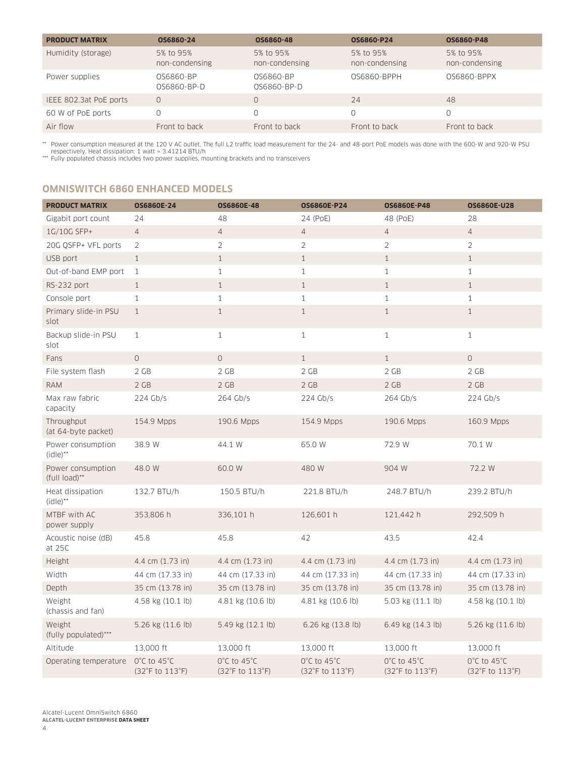| <b>PRODUCT MATRIX</b>  | OS6860-24                   | OS6860-48                   | OS6860-P24                  | OS6860-P48                  |
|------------------------|-----------------------------|-----------------------------|-----------------------------|-----------------------------|
| Humidity (storage)     | 5% to 95%<br>non-condensing | 5% to 95%<br>non-condensing | 5% to 95%<br>non-condensing | 5% to 95%<br>non-condensing |
| Power supplies         | 0S6860-BP<br>0S6860-BP-D    | 0S6860-BP<br>0S6860-BP-D    | 0S6860-BPPH                 | 0S6860-BPPX                 |
| IEEE 802.3at PoE ports | $\Omega$                    |                             | 24                          | 48                          |
| 60 W of PoE ports      |                             |                             | 0                           |                             |
| Air flow               | Front to back               | Front to back               | Front to back               | Front to back               |

\*\* Power consumption measured at the 120 V AC outlet. The full L2 traffic load measurement for the 24- and 48-port PoE models was done with the 600-W and 920-W PSU<br>• respectively. Heat dissipation: 1 watt ≈ 3.41214 BTU/h<br>

# **OMNISWITCH 6860 ENHANCED MODELS**

| <b>PRODUCT MATRIX</b>                       | OS6860E-24                                          | <b>OS6860E-48</b>                                   | <b>OS6860E-P24</b>                                  | <b>OS6860E-P48</b>                                  | <b>OS6860E-U28</b>                                  |
|---------------------------------------------|-----------------------------------------------------|-----------------------------------------------------|-----------------------------------------------------|-----------------------------------------------------|-----------------------------------------------------|
| Gigabit port count                          | 24                                                  | 48                                                  | 24 (PoE)                                            | 48 (PoE)                                            | 28                                                  |
| 1G/10G SFP+                                 | $\overline{4}$                                      | 4                                                   | $\overline{4}$                                      | $\overline{4}$                                      | $\overline{4}$                                      |
| 20G QSFP+ VFL ports                         | $\overline{2}$                                      | $\overline{2}$                                      | $\overline{2}$                                      | $\overline{2}$                                      | $\overline{2}$                                      |
| USB port                                    | $\mathbf{1}$                                        | $\mathbf{1}$                                        | $\mathbf{1}$                                        | $\mathbf{1}$                                        | $\mathbf{1}$                                        |
| Out-of-band EMP port                        | $\mathbf{1}$                                        | $\mathbf{1}$                                        | $\mathbf{1}$                                        | $\mathbf{1}$                                        | $\mathbf{1}$                                        |
| RS-232 port                                 | $\mathbf{1}$                                        | $\mathbf{1}$                                        | $\mathbf{1}$                                        | $\mathbf{1}$                                        | $\mathbf{1}$                                        |
| Console port                                | $\mathbf{1}$                                        | $\,1\,$                                             | $\mathbf{1}$                                        | $\mathbf{1}$                                        | $\mathbf{1}$                                        |
| Primary slide-in PSU<br>slot                | $\mathbf{1}$                                        | $\mathbf{1}$                                        | $\mathbf{1}$                                        | $\mathbf{1}$                                        | $\mathbf{1}$                                        |
| Backup slide-in PSU<br>slot                 | $\mathbf{1}$                                        | $\mathbf{1}$                                        | $\mathbf 1$                                         | $\mathbf{1}$                                        | $\mathbf{1}$                                        |
| Fans                                        | $\circ$                                             | $\circlearrowright$                                 | $\mathbf{1}$                                        | $\mathbf{1}$                                        | $\circ$                                             |
| File system flash                           | 2 GB                                                | 2 GB                                                | 2 GB                                                | 2 GB                                                | 2 GB                                                |
| <b>RAM</b>                                  | 2 GB                                                | 2 GB                                                | 2 GB                                                | 2 GB                                                | 2 GB                                                |
| Max raw fabric<br>capacity                  | 224 Gb/s                                            | 264 Gb/s                                            | $224$ Gb/s                                          | 264 Gb/s                                            | $224$ Gb/s                                          |
| Throughput<br>(at 64-byte packet)           | 154.9 Mpps                                          | 190.6 Mpps                                          | 154.9 Mpps                                          | 190.6 Mpps                                          | 160.9 Mpps                                          |
| Power consumption<br>$(idle)$ <sup>**</sup> | 38.9 W                                              | 44.1 W                                              | 65.0 W                                              | 72.9 W                                              | 70.1 W                                              |
| Power consumption<br>(full load)**          | 48.0 W                                              | 60.0 W                                              | 480 W                                               | 904 W                                               | 72.2 W                                              |
| Heat dissipation<br>$(idle)$ <sup>**</sup>  | 132.7 BTU/h                                         | 150.5 BTU/h                                         | 221.8 BTU/h                                         | 248.7 BTU/h                                         | 239.2 BTU/h                                         |
| MTBF with AC<br>power supply                | 353,806 h                                           | 336,101 h                                           | 126,601 h                                           | 121,442 h                                           | 292,509 h                                           |
| Acoustic noise (dB)<br>at 25C               | 45.8                                                | 45.8                                                | 42                                                  | 43.5                                                | 42.4                                                |
| Height                                      | 4.4 cm (1.73 in)                                    | 4.4 cm (1.73 in)                                    | 4.4 cm (1.73 in)                                    | 4.4 cm (1.73 in)                                    | 4.4 cm (1.73 in)                                    |
| Width                                       | 44 cm (17.33 in)                                    | 44 cm (17.33 in)                                    | 44 cm (17.33 in)                                    | 44 cm (17.33 in)                                    | 44 cm (17.33 in)                                    |
| Depth                                       | 35 cm (13.78 in)                                    | 35 cm (13.78 in)                                    | 35 cm (13.78 in)                                    | 35 cm (13.78 in)                                    | 35 cm (13.78 in)                                    |
| Weight<br>(chassis and fan)                 | 4.58 kg (10.1 lb)                                   | 4.81 kg (10.6 lb)                                   | 4.81 kg (10.6 lb)                                   | 5.03 kg (11.1 lb)                                   | 4.58 kg (10.1 lb)                                   |
| Weight<br>(fully populated)***              | 5.26 kg (11.6 lb)                                   | 5.49 kg (12.1 lb)                                   | 6.26 kg (13.8 lb)                                   | 6.49 kg (14.3 lb)                                   | 5.26 kg (11.6 lb)                                   |
| Altitude                                    | 13,000 ft                                           | 13,000 ft                                           | 13,000 ft                                           | 13,000 ft                                           | 13,000 ft                                           |
| Operating temperature                       | $0^{\circ}$ C to 45 $^{\circ}$ C<br>(32°F to 113°F) | $0^{\circ}$ C to 45 $^{\circ}$ C<br>(32°F to 113°F) | $0^{\circ}$ C to 45 $^{\circ}$ C<br>(32°F to 113°F) | $0^{\circ}$ C to 45 $^{\circ}$ C<br>(32°F to 113°F) | $0^{\circ}$ C to 45 $^{\circ}$ C<br>(32°F to 113°F) |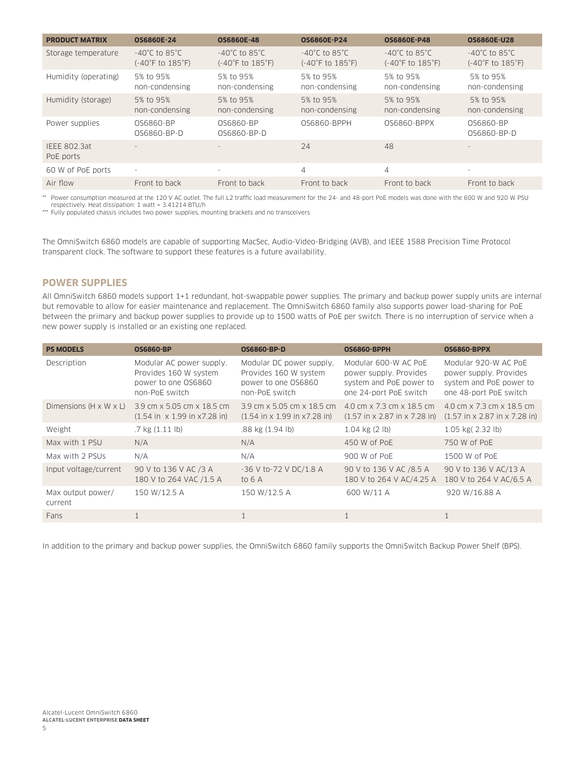| <b>PRODUCT MATRIX</b>            | <b>OS6860E-24</b>                                                          | <b>OS6860E-48</b>                                                          | <b>OS6860E-P24</b>                                                         | <b>OS6860E-P48</b>                                                         | <b>OS6860E-U28</b>                                                         |
|----------------------------------|----------------------------------------------------------------------------|----------------------------------------------------------------------------|----------------------------------------------------------------------------|----------------------------------------------------------------------------|----------------------------------------------------------------------------|
|                                  |                                                                            |                                                                            |                                                                            |                                                                            |                                                                            |
| Storage temperature              | $-40^{\circ}$ C to 85 $^{\circ}$ C<br>$(-40^{\circ}$ F to $185^{\circ}$ F) | $-40^{\circ}$ C to 85 $^{\circ}$ C<br>$(-40^{\circ}$ F to $185^{\circ}$ F) | $-40^{\circ}$ C to 85 $^{\circ}$ C<br>$(-40^{\circ}$ F to $185^{\circ}$ F) | $-40^{\circ}$ C to 85 $^{\circ}$ C<br>$(-40^{\circ}$ F to $185^{\circ}$ F) | $-40^{\circ}$ C to 85 $^{\circ}$ C<br>$(-40^{\circ}$ F to $185^{\circ}$ F) |
| Humidity (operating)             | 5% to 95%<br>non-condensing                                                | 5% to 95%<br>non-condensing                                                | 5% to 95%<br>non-condensing                                                | 5% to 95%<br>non-condensing                                                | 5% to 95%<br>non-condensing                                                |
| Humidity (storage)               | 5% to 95%<br>non-condensing                                                | 5% to 95%<br>non-condensing                                                | 5% to 95%<br>non-condensing                                                | 5% to 95%<br>non-condensing                                                | 5% to 95%<br>non-condensing                                                |
| Power supplies                   | OS6860-BP<br>0S6860-BP-D                                                   | OS6860-BP<br>0S6860-BP-D                                                   | 0S6860-BPPH                                                                | 0S6860-BPPX                                                                | OS6860-BP<br>0.56860-BP-D                                                  |
| <b>IEEE 802.3at</b><br>PoE ports | $\sim$                                                                     | $\sim$                                                                     | 74                                                                         | 48                                                                         | $\overline{\phantom{a}}$                                                   |
| 60 W of PoE ports                | $\overline{\phantom{a}}$                                                   | $\overline{\phantom{a}}$                                                   | 4                                                                          | $\overline{4}$                                                             | ۰                                                                          |
| Air flow                         | Front to back                                                              | Front to back                                                              | Front to back                                                              | Front to back                                                              | Front to back                                                              |

\*\* Power consumption measured at the 120 V AC outlet. The full L2 traffic load measurement for the 24- and 48-port PoE models was done with the 600 W and 920 W PSU respectively. Heat dissipation: 1 watt ≈ 3.41214 BTU/h

\*\*\* Fully populated chassis includes two power supplies, mounting brackets and no transceivers

The OmniSwitch 6860 models are capable of supporting MacSec, Audio-Video-Bridging (AVB), and IEEE 1588 Precision Time Protocol transparent clock. The software to support these features is a future availability.

#### **POWER SUPPLIES**

All OmniSwitch 6860 models support 1+1 redundant, hot-swappable power supplies. The primary and backup power supply units are internal but removable to allow for easier maintenance and replacement. The OmniSwitch 6860 family also supports power load-sharing for PoE between the primary and backup power supplies to provide up to 1500 watts of PoE per switch. There is no interruption of service when a new power supply is installed or an existing one replaced.

| <b>PS MODELS</b>                   | <b>OS6860-BP</b>                                                                           | <b>OS6860-BP-D</b>                                                                              | <b>OS6860-BPPH</b>                                                                                  | <b>OS6860-BPPX</b>                                                                                  |
|------------------------------------|--------------------------------------------------------------------------------------------|-------------------------------------------------------------------------------------------------|-----------------------------------------------------------------------------------------------------|-----------------------------------------------------------------------------------------------------|
| Description                        | Modular AC power supply.<br>Provides 160 W system<br>power to one OS6860<br>non-PoE switch | Modular DC power supply.<br>Provides 160 W system<br>power to one OS6860<br>non-PoE switch      | Modular 600-W AC PoE<br>power supply. Provides<br>system and PoE power to<br>one 24-port PoE switch | Modular 920-W AC PoE<br>power supply. Provides<br>system and PoE power to<br>one 48-port PoE switch |
| Dimensions $(H \times W \times L)$ | 3.9 cm x 5.05 cm x 18.5 cm<br>$(1.54 \text{ in } x 1.99 \text{ in } x7.28 \text{ in})$     | 3.9 cm x 5.05 cm x 18.5 cm<br>$(1.54 \text{ in} \times 1.99 \text{ in} \times 7.28 \text{ in})$ | 4.0 cm x 7.3 cm x 18.5 cm<br>$(1.57 \text{ in} \times 2.87 \text{ in} \times 7.28 \text{ in})$      | 4.0 cm x 7.3 cm x 18.5 cm<br>$(1.57 \text{ in} \times 2.87 \text{ in} \times 7.28 \text{ in})$      |
| Weight                             | $.7$ kg $(1.11$ lb)                                                                        | .88 kg (1.94 lb)                                                                                | $1.04$ kg $(2 \text{ lb})$                                                                          | 1.05 kg(2.32 lb)                                                                                    |
| Max with 1 PSU                     | N/A                                                                                        | N/A                                                                                             | 450 W of PoE                                                                                        | 750 W of PoE                                                                                        |
| Max with 2 PSUs                    | N/A                                                                                        | N/A                                                                                             | 900 W of PoE                                                                                        | 1500 W of PoE                                                                                       |
| Input voltage/current              | 90 V to 136 V AC /3 A<br>180 V to 264 VAC /1.5 A                                           | -36 V to-72 V DC/1.8 A<br>to 6 A                                                                | 90 V to 136 V AC /8.5 A<br>180 V to 264 V AC/4.25 A                                                 | 90 V to 136 V AC/13 A<br>180 V to 264 V AC/6.5 A                                                    |
| Max output power/<br>current       | 150 W/12.5 A                                                                               | 150 W/12.5 A                                                                                    | 600 W/11 A                                                                                          | 920 W/16.88 A                                                                                       |
| Fans                               |                                                                                            | 1                                                                                               | 1                                                                                                   | 1                                                                                                   |

In addition to the primary and backup power supplies, the OmniSwitch 6860 family supports the OmniSwitch Backup Power Shelf (BPS).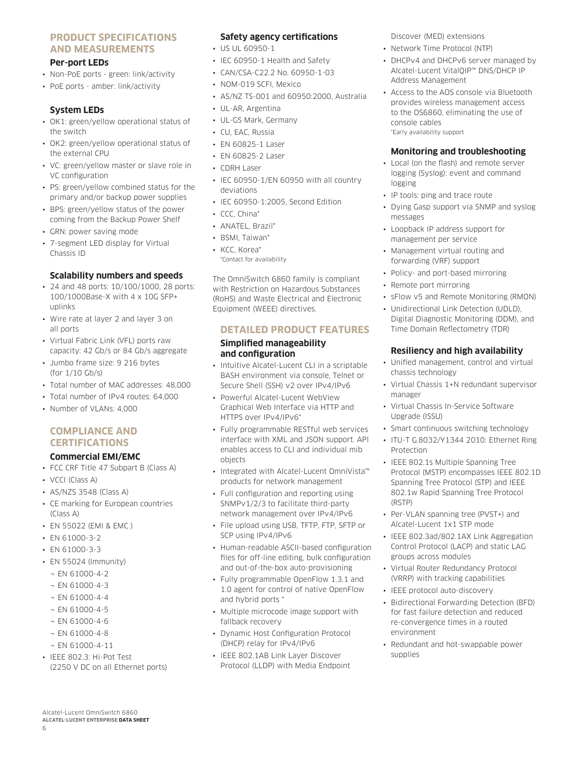#### **PRODUCT SPECIFICATIONS AND MEASUREMENTS**

#### **Per-port LEDs**

- Non-PoE ports green: link/activity
- PoE ports amber: link/activity

#### **System LEDs**

- OK1: green/yellow operational status of the switch
- OK2: green/yellow operational status of the external CPU
- VC: green/yellow master or slave role in VC configuration
- PS: green/yellow combined status for the primary and/or backup power supplies
- BPS: green/yellow status of the power coming from the Backup Power Shelf
- GRN: power saving mode
- 7-segment LED display for Virtual Chassis ID

#### **Scalability numbers and speeds**

- 24 and 48 ports: 10/100/1000, 28 ports: 100/1000Base-X with 4 x 10G SFP+ uplinks
- Wire rate at layer 2 and layer 3 on all ports
- Virtual Fabric Link (VFL) ports raw capacity: 42 Gb/s or 84 Gb/s aggregate
- Jumbo frame size: 9 216 bytes (for 1/10 Gb/s)
- Total number of MAC addresses: 48,000
- Total number of IPv4 routes: 64,000
- Number of VLANs: 4,000

# **COMPLIANCE AND CERTIFICATIONS**

# **Commercial EMI/EMC**

- FCC CRF Title 47 Subpart B (Class A)
- VCCI (Class A)
- AS/NZS 3548 (Class A)
- CE marking for European countries (Class A)
- EN 55022 (EMI & EMC )
- EN 61000-3-2
- EN 61000-3-3
- EN 55024 (Immunity)
	- $\neg$  EN 61000-4-2
	- ¬ EN 61000-4-3
	- $\neg$  EN 61000-4-4
	- $-$  FN 61000-4-5
	- ¬ EN 61000-4-6
	- $\neg$  EN 61000-4-8
	- ¬ EN 61000-4-11
- IEEE 802.3: Hi-Pot Test (2250 V DC on all Ethernet ports)

#### **Safety agency certifications**

- US UL 60950-1
- IEC 60950-1 Health and Safety
- CAN/CSA-C22.2 No. 60950-1-03
- NOM-019 SCFI, Mexico
- AS/NZ TS-001 and 60950:2000, Australia
- UL-AR, Argentina
- UL-GS Mark, Germany
- CU, EAC, Russia
- EN 60825-1 Laser
- EN 60825-2 Laser
- CDRH Laser
- IEC 60950-1/EN 60950 with all country deviations
- IEC 60950-1:2005, Second Edition
- CCC, China\*
- ANATEL, Brazil\*
- BSMI, Taiwan\*
- KCC, Korea\*
- \*Contact for availability

The OmniSwitch 6860 family is compliant with Restriction on Hazardous Substances (RoHS) and Waste Electrical and Electronic Equipment (WEEE) directives.

#### **DETAILED PRODUCT FEATURES**

#### **Simplified manageability and configuration**

- Intuitive Alcatel-Lucent CLI in a scriptable BASH environment via console, Telnet or Secure Shell (SSH) v2 over IPv4/IPv6
- Powerful Alcatel-Lucent WebView Graphical Web Interface via HTTP and HTTPS over IPv4/IPv6\*
- Fully programmable RESTful web services interface with XML and JSON support. API enables access to CLI and individual mib objects
- Integrated with Alcatel-Lucent OmniVista™ products for network management
- Full configuration and reporting using SNMPv1/2/3 to facilitate third-party network management over IPv4/IPv6
- File upload using USB, TFTP, FTP, SFTP or SCP using IPv4/IPv6
- Human-readable ASCII-based configuration files for off-line editing, bulk configuration and out-of-the-box auto-provisioning
- Fully programmable OpenFlow 1.3.1 and 1.0 agent for control of native OpenFlow and hybrid ports \*
- Multiple microcode image support with fallback recovery
- Dynamic Host Configuration Protocol (DHCP) relay for IPv4/IPv6
- IEEE 802.1AB Link Layer Discover Protocol (LLDP) with Media Endpoint

Discover (MED) extensions

- Network Time Protocol (NTP)
- DHCPv4 and DHCPv6 server managed by Alcatel-Lucent VitalQIP™ DNS/DHCP IP Address Management
- Access to the AOS console via Bluetooth provides wireless management access to the OS6860, eliminating the use of console cables \*Early availability support

#### **Monitoring and troubleshooting**

- Local (on the flash) and remote server logging (Syslog): event and command logging
- IP tools: ping and trace route
- Dying Gasp support via SNMP and syslog messages
- Loopback IP address support for management per service
- Management virtual routing and forwarding (VRF) support
- Policy- and port-based mirroring
- Remote port mirroring
- sFlow v5 and Remote Monitoring (RMON)
- Unidirectional Link Detection (UDLD), Digital Diagnostic Monitoring (DDM), and Time Domain Reflectometry (TDR)

#### **Resiliency and high availability**

- Unified management, control and virtual chassis technology
- Virtual Chassis 1+N redundant supervisor manager
- Virtual Chassis In-Service Software Upgrade (ISSU)
- Smart continuous switching technology
- ITU-T G.8032/Y1344 2010: Ethernet Ring Protection
- IEEE 802.1s Multiple Spanning Tree Protocol (MSTP) encompasses IEEE 802.1D Spanning Tree Protocol (STP) and IEEE 802.1w Rapid Spanning Tree Protocol (RSTP)
- Per-VLAN spanning tree (PVST+) and Alcatel-Lucent 1x1 STP mode
- IEEE 802.3ad/802.1AX Link Aggregation Control Protocol (LACP) and static LAG groups across modules
- Virtual Router Redundancy Protocol (VRRP) with tracking capabilities
- IEEE protocol auto-discovery
- Bidirectional Forwarding Detection (BFD) for fast failure detection and reduced re-convergence times in a routed environment
- Redundant and hot-swappable power supplies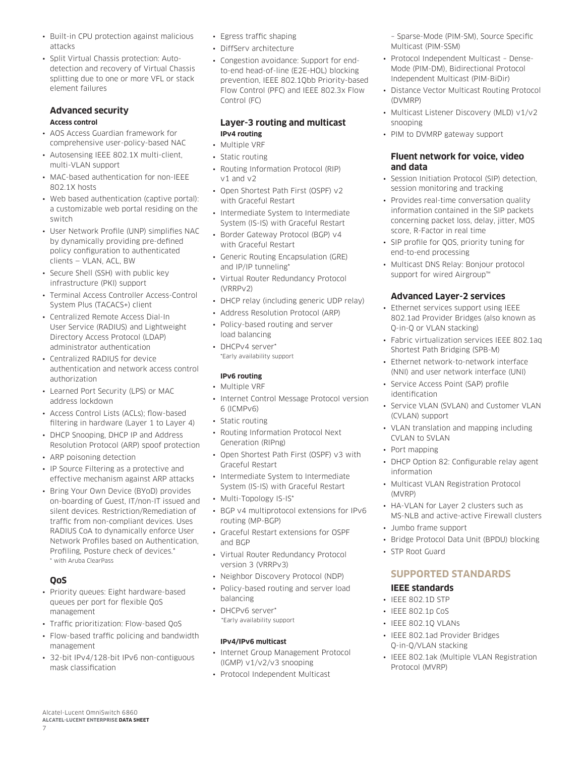- Built-in CPU protection against malicious attacks
- Split Virtual Chassis protection: Autodetection and recovery of Virtual Chassis splitting due to one or more VFL or stack element failures

#### **Advanced security Access control**

- AOS Access Guardian framework for comprehensive user-policy-based NAC
- Autosensing IEEE 802.1X multi-client, multi-VLAN support
- MAC-based authentication for non-IEEE 802.1X hosts
- Web based authentication (captive portal): a customizable web portal residing on the switch
- User Network Profile (UNP) simplifies NAC by dynamically providing pre-defined policy configuration to authenticated clients — VLAN, ACL, BW
- Secure Shell (SSH) with public key infrastructure (PKI) support
- Terminal Access Controller Access-Control System Plus (TACACS+) client
- Centralized Remote Access Dial-In User Service (RADIUS) and Lightweight Directory Access Protocol (LDAP) administrator authentication
- Centralized RADIUS for device authentication and network access control authorization
- Learned Port Security (LPS) or MAC address lockdown
- Access Control Lists (ACLs); flow-based filtering in hardware (Layer 1 to Layer 4)
- DHCP Snooping, DHCP IP and Address Resolution Protocol (ARP) spoof protection
- ARP poisoning detection
- IP Source Filtering as a protective and effective mechanism against ARP attacks
- Bring Your Own Device (BYoD) provides on-boarding of Guest, IT/non-IT issued and silent devices. Restriction/Remediation of traffic from non-compliant devices. Uses RADIUS CoA to dynamically enforce User Network Profiles based on Authentication, Profiling, Posture check of devices.\* \* with Aruba ClearPass

# **QoS**

- Priority queues: Eight hardware-based queues per port for flexible QoS management
- Traffic prioritization: Flow-based QoS
- Flow-based traffic policing and bandwidth management
- 32-bit IPv4/128-bit IPv6 non-contiguous mask classification
- Egress traffic shaping
- DiffServ architecture
- Congestion avoidance: Support for endto-end head-of-line (E2E-HOL) blocking prevention, IEEE 802.1Qbb Priority-based Flow Control (PFC) and IEEE 802.3x Flow Control (FC)

# **Layer-3 routing and multicast IPv4 routing**

- Multiple VRF
- Static routing
- Routing Information Protocol (RIP) v1 and v2
- Open Shortest Path First (OSPF) v2 with Graceful Restart
- Intermediate System to Intermediate System (IS-IS) with Graceful Restart
- Border Gateway Protocol (BGP) v4 with Graceful Restart
- Generic Routing Encapsulation (GRE) and IP/IP tunneling\*
- Virtual Router Redundancy Protocol (VRRPv2)
- DHCP relay (including generic UDP relay)
- Address Resolution Protocol (ARP) • Policy-based routing and server load balancing
- DHCPv4 server\* \*Early availability support

## **IPv6 routing**

- Multiple VRF
- Internet Control Message Protocol version 6 (ICMPv6)
- Static routing
- Routing Information Protocol Next Generation (RIPng)
- Open Shortest Path First (OSPF) v3 with Graceful Restart
- Intermediate System to Intermediate System (IS-IS) with Graceful Restart
- Multi-Topology IS-IS\*
- BGP v4 multiprotocol extensions for IPv6 routing (MP-BGP)
- Graceful Restart extensions for OSPF and BGP
- Virtual Router Redundancy Protocol version 3 (VRRPv3)
- Neighbor Discovery Protocol (NDP)
- Policy-based routing and server load balancing
- DHCPv6 server\* \*Early availability support

#### **IPv4/IPv6 multicast**

- Internet Group Management Protocol (IGMP) v1/v2/v3 snooping
- Protocol Independent Multicast

– Sparse-Mode (PIM-SM), Source Specific Multicast (PIM-SSM)

- Protocol Independent Multicast Dense-Mode (PIM-DM), Bidirectional Protocol Independent Multicast (PIM-BiDir)
- Distance Vector Multicast Routing Protocol (DVMRP)
- Multicast Listener Discovery (MLD) v1/v2 snooping
- PIM to DVMRP gateway support

#### **Fluent network for voice, video and data**

- Session Initiation Protocol (SIP) detection, session monitoring and tracking
- Provides real-time conversation quality information contained in the SIP packets concerning packet loss, delay, jitter, MOS score, R-Factor in real time
- SIP profile for QOS, priority tuning for end-to-end processing
- Multicast DNS Relay: Bonjour protocol support for wired Airgroup™

# **Advanced Layer-2 services**

- Ethernet services support using IEEE 802.1ad Provider Bridges (also known as Q-in-Q or VLAN stacking)
- Fabric virtualization services IEEE 802.1aq Shortest Path Bridging (SPB-M)
- Ethernet network-to-network interface (NNI) and user network interface (UNI)
- Service Access Point (SAP) profile identification
- Service VLAN (SVLAN) and Customer VLAN (CVLAN) support
- VLAN translation and mapping including CVLAN to SVLAN
- Port mapping
- DHCP Option 82: Configurable relay agent information
- Multicast VLAN Registration Protocol (MVRP)
- HA-VLAN for Layer 2 clusters such as MS-NLB and active-active Firewall clusters
- Jumbo frame support
- Bridge Protocol Data Unit (BPDU) blocking
- STP Root Guard

# **SUPPORTED STANDARDS**

## **IEEE standards**

- IEEE 802.1D STP
- IEEE 802.1p CoS
- IEEE 802.1Q VLANs
- IEEE 802.1ad Provider Bridges Q-in-Q/VLAN stacking
- IEEE 802.1ak (Multiple VLAN Registration Protocol (MVRP)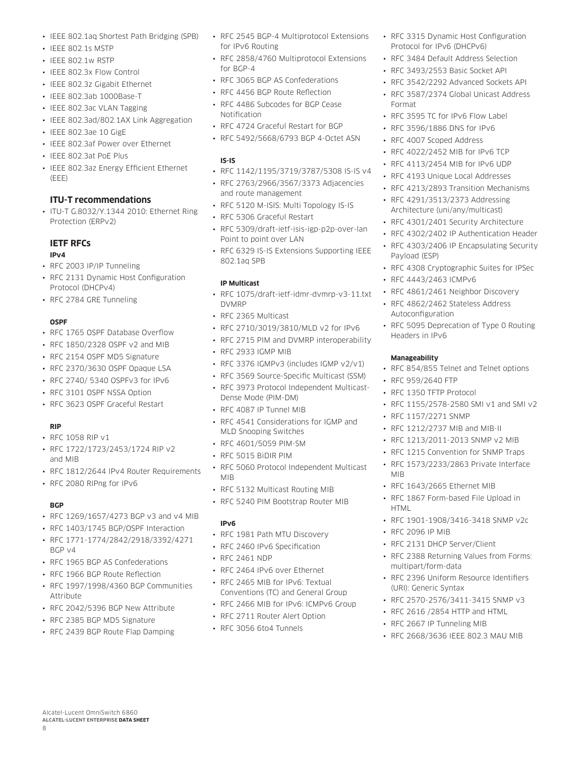- IEEE 802.1aq Shortest Path Bridging (SPB)
- IEEE 802.1s MSTP
- IEEE 802.1w RSTP
- IEEE 802.3x Flow Control
- IEEE 802.3z Gigabit Ethernet
- IEEE 802.3ab 1000Base-T
- IEEE 802.3ac VLAN Tagging
- IEEE 802.3ad/802.1AX Link Aggregation
- IEEE 802.3ae 10 GigE
- IEEE 802.3af Power over Ethernet
- IEEE 802.3at PoE Plus
- IEEE 802.3az Energy Efficient Ethernet (EEE)

# **ITU-T recommendations**

• ITU-T G.8032/Y.1344 2010: Ethernet Ring Protection (ERPv2)

# **IETF RFCs**

### **IPv4**

- RFC 2003 IP/IP Tunneling
- RFC 2131 Dynamic Host Configuration Protocol (DHCPv4)
- RFC 2784 GRE Tunneling

# **OSPF**

- RFC 1765 OSPF Database Overflow
- RFC 1850/2328 OSPF v2 and MIB
- RFC 2154 OSPF MD5 Signature
- RFC 2370/3630 OSPF Opaque LSA
- RFC 2740/ 5340 OSPFv3 for IPv6
- RFC 3101 OSPF NSSA Option
- RFC 3623 OSPF Graceful Restart

### **RIP**

- RFC 1058 RIP v1
- RFC 1722/1723/2453/1724 RIP v2 and MIB
- RFC 1812/2644 IPv4 Router Requirements
- RFC 2080 RIPng for IPv6

# **BGP**

8

- RFC 1269/1657/4273 BGP v3 and v4 MIB
- RFC 1403/1745 BGP/OSPF Interaction
- RFC 1771-1774/2842/2918/3392/4271 BGP v4
- RFC 1965 BGP AS Confederations
- RFC 1966 BGP Route Reflection
- RFC 1997/1998/4360 BGP Communities Attribute
- RFC 2042/5396 BGP New Attribute
- RFC 2385 BGP MD5 Signature

Alcatel-Lucent OmniSwitch 6860 **ALCATEL-LUCENT ENTERPRISE DATA SHEET**

• RFC 2439 BGP Route Flap Damping

- RFC 2545 BGP-4 Multiprotocol Extensions for IPv6 Routing
- RFC 2858/4760 Multiprotocol Extensions for BGP-4
- RFC 3065 BGP AS Confederations
- RFC 4456 BGP Route Reflection
- RFC 4486 Subcodes for BGP Cease Notification
- RFC 4724 Graceful Restart for BGP
- RFC 5492/5668/6793 BGP 4-Octet ASN

### **IS-IS**

- RFC 1142/1195/3719/3787/5308 IS-IS v4
- RFC 2763/2966/3567/3373 Adjacencies and route management
- RFC 5120 M-ISIS: Multi Topology IS-IS
- RFC 5306 Graceful Restart
- RFC 5309/draft-ietf-isis-igp-p2p-over-lan Point to point over LAN
- RFC 6329 IS-IS Extensions Supporting IEEE 802.1aq SPB

## **IP Multicast**

- RFC 1075/draft-ietf-idmr-dvmrp-v3-11.txt DVMRP
- RFC 2365 Multicast
- RFC 2710/3019/3810/MLD v2 for IPv6
- RFC 2715 PIM and DVMRP interoperability
- RFC 2933 IGMP MIB
- RFC 3376 IGMPv3 (includes IGMP v2/v1)
- RFC 3569 Source-Specific Multicast (SSM)
- RFC 3973 Protocol Independent Multicast-Dense Mode (PIM-DM)
- RFC 4087 IP Tunnel MIB
- RFC 4541 Considerations for IGMP and MLD Snooping Switches
- RFC 4601/5059 PIM-SM
- RFC 5015 BiDIR PIM
- RFC 5060 Protocol Independent Multicast MIB
- RFC 5132 Multicast Routing MIB
- RFC 5240 PIM Bootstrap Router MIB

### **IPv6**

- RFC 1981 Path MTU Discovery
- RFC 2460 IPv6 Specification
- RFC 2461 NDP
- RFC 2464 IPv6 over Ethernet
- RFC 2465 MIB for IPv6: Textual Conventions (TC) and General Group
- RFC 2466 MIB for IPv6: ICMPv6 Group
- RFC 2711 Router Alert Option
- RFC 3056 6to4 Tunnels
- RFC 3315 Dynamic Host Configuration Protocol for IPv6 (DHCPv6)
- RFC 3484 Default Address Selection
- RFC 3493/2553 Basic Socket API
- RFC 3542/2292 Advanced Sockets API
- RFC 3587/2374 Global Unicast Address Format
- RFC 3595 TC for IPv6 Flow Label
- RFC 3596/1886 DNS for IPv6
- RFC 4007 Scoped Address
- RFC 4022/2452 MIB for IPv6 TCP
- RFC 4113/2454 MIB for IPv6 UDP
- RFC 4193 Unique Local Addresses
- RFC 4213/2893 Transition Mechanisms
- RFC 4291/3513/2373 Addressing Architecture (uni/any/multicast)
- RFC 4301/2401 Security Architecture
- RFC 4302/2402 IP Authentication Header
- RFC 4303/2406 IP Encapsulating Security Payload (ESP)
- RFC 4308 Cryptographic Suites for IPSec

• RFC 5095 Deprecation of Type 0 Routing

• RFC 854/855 Telnet and Telnet options

• RFC 1155/2578-2580 SMI v1 and SMI v2

• RFC 4443/2463 ICMPv6

Autoconfiguration

Headers in IPv6

**Manageability**

MIB

**HTML** 

• RFC 2096 IP MIB

multipart/form-data

(URI): Generic Syntax

• RFC 959/2640 FTP • RFC 1350 TFTP Protocol

• RFC 1157/2271 SNMP

• RFC 1212/2737 MIB and MIB-II • RFC 1213/2011-2013 SNMP v2 MIB • RFC 1215 Convention for SNMP Traps • RFC 1573/2233/2863 Private Interface

• RFC 1643/2665 Ethernet MIB • RFC 1867 Form-based File Upload in

• RFC 2131 DHCP Server/Client

• RFC 1901-1908/3416-3418 SNMP v2c

• RFC 2388 Returning Values from Forms:

• RFC 2396 Uniform Resource Identifiers

• RFC 2570-2576/3411-3415 SNMP v3 • RFC 2616 /2854 HTTP and HTML • RFC 2667 IP Tunneling MIB

• RFC 2668/3636 IEEE 802.3 MAU MIB

• RFC 4861/2461 Neighbor Discovery • RFC 4862/2462 Stateless Address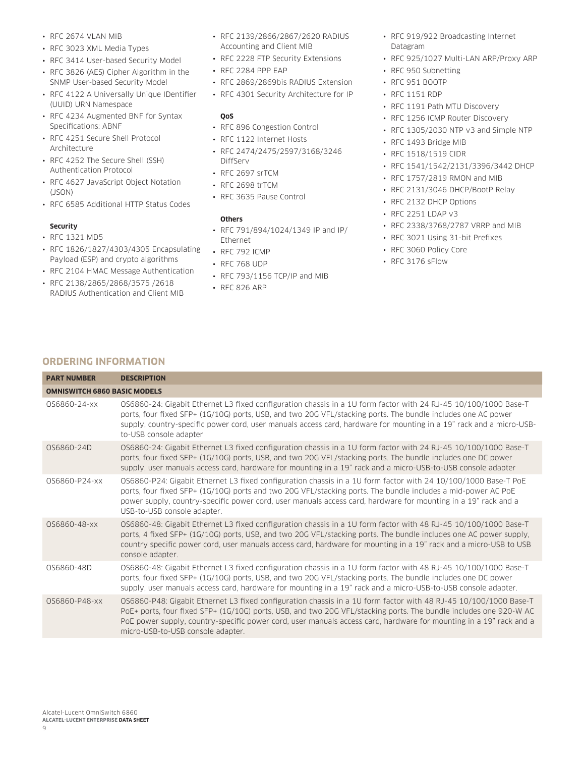- RFC 2674 VLAN MIB
- RFC 3023 XML Media Types
- RFC 3414 User-based Security Model
- RFC 3826 (AES) Cipher Algorithm in the SNMP User-based Security Model
- RFC 4122 A Universally Unique IDentifier (UUID) URN Namespace
- RFC 4234 Augmented BNF for Syntax Specifications: ABNF
- RFC 4251 Secure Shell Protocol Architecture
- RFC 4252 The Secure Shell (SSH) Authentication Protocol
- RFC 4627 JavaScript Object Notation (JSON)
- RFC 6585 Additional HTTP Status Codes

#### **Security**

- RFC 1321 MD5
- RFC 1826/1827/4303/4305 Encapsulating Payload (ESP) and crypto algorithms
- RFC 2104 HMAC Message Authentication
- RFC 2138/2865/2868/3575 /2618 RADIUS Authentication and Client MIB
- RFC 2139/2866/2867/2620 RADIUS Accounting and Client MIB
- RFC 2228 FTP Security Extensions
- RFC 2284 PPP EAP
- RFC 2869/2869bis RADIUS Extension
- RFC 4301 Security Architecture for IP

#### **QoS**

- RFC 896 Congestion Control
- RFC 1122 Internet Hosts
- RFC 2474/2475/2597/3168/3246 DiffServ
- RFC 2697 srTCM
- RFC 2698 trTCM
- RFC 3635 Pause Control

#### **Others**

- RFC 791/894/1024/1349 IP and IP/ Ethernet
- RFC 792 ICMP
- RFC 768 UDP
- RFC 793/1156 TCP/IP and MIB
- RFC 826 ARP
- RFC 919/922 Broadcasting Internet Datagram
- RFC 925/1027 Multi-LAN ARP/Proxy ARP
- RFC 950 Subnetting
- RFC 951 BOOTP
- RFC 1151 RDP
- RFC 1191 Path MTU Discovery
- RFC 1256 ICMP Router Discovery
- RFC 1305/2030 NTP v3 and Simple NTP
- RFC 1493 Bridge MIB
- RFC 1518/1519 CIDR
- RFC 1541/1542/2131/3396/3442 DHCP
- RFC 1757/2819 RMON and MIB
- RFC 2131/3046 DHCP/BootP Relay
- RFC 2132 DHCP Options
- RFC 2251 LDAP v3
- RFC 2338/3768/2787 VRRP and MIB
- RFC 3021 Using 31-bit Prefixes
- RFC 3060 Policy Core
- RFC 3176 sFlow

### **ORDERING INFORMATION**

| <b>PART NUMBER</b> | <b>DESCRIPTION</b>                                                                                                                                                                                                                                                                                                                                                                               |  |  |  |  |  |
|--------------------|--------------------------------------------------------------------------------------------------------------------------------------------------------------------------------------------------------------------------------------------------------------------------------------------------------------------------------------------------------------------------------------------------|--|--|--|--|--|
|                    | <b>OMNISWITCH 6860 BASIC MODELS</b>                                                                                                                                                                                                                                                                                                                                                              |  |  |  |  |  |
| 0S6860-24-xx       | OS6860-24: Gigabit Ethernet L3 fixed configuration chassis in a 1U form factor with 24 RJ-45 10/100/1000 Base-T<br>ports, four fixed SFP+ (1G/10G) ports, USB, and two 20G VFL/stacking ports. The bundle includes one AC power<br>supply, country-specific power cord, user manuals access card, hardware for mounting in a 19" rack and a micro-USB-<br>to-USB console adapter                 |  |  |  |  |  |
| OS6860-24D         | OS6860-24: Gigabit Ethernet L3 fixed configuration chassis in a 1U form factor with 24 RJ-45 10/100/1000 Base-T<br>ports, four fixed SFP+ (1G/10G) ports, USB, and two 20G VFL/stacking ports. The bundle includes one DC power<br>supply, user manuals access card, hardware for mounting in a 19" rack and a micro-USB-to-USB console adapter                                                  |  |  |  |  |  |
| 0S6860-P24-xx      | OS6860-P24: Gigabit Ethernet L3 fixed configuration chassis in a 1U form factor with 24 10/100/1000 Base-T PoE<br>ports, four fixed SFP+ (1G/10G) ports and two 20G VFL/stacking ports. The bundle includes a mid-power AC PoE<br>power supply, country-specific power cord, user manuals access card, hardware for mounting in a 19" rack and a<br>USB-to-USB console adapter.                  |  |  |  |  |  |
| OS6860-48-xx       | OS6860-48: Gigabit Ethernet L3 fixed configuration chassis in a 1U form factor with 48 RJ-45 10/100/1000 Base-T<br>ports, 4 fixed SFP+ (1G/10G) ports, USB, and two 20G VFL/stacking ports. The bundle includes one AC power supply,<br>country specific power cord, user manuals access card, hardware for mounting in a 19" rack and a micro-USB to USB<br>console adapter.                    |  |  |  |  |  |
| OS6860-48D         | OS6860-48: Gigabit Ethernet L3 fixed configuration chassis in a 1U form factor with 48 RJ-45 10/100/1000 Base-T<br>ports, four fixed SFP+ (1G/10G) ports, USB, and two 20G VFL/stacking ports. The bundle includes one DC power<br>supply, user manuals access card, hardware for mounting in a 19" rack and a micro-USB-to-USB console adapter.                                                 |  |  |  |  |  |
| 0S6860-P48-xx      | OS6860-P48: Gigabit Ethernet L3 fixed configuration chassis in a 1U form factor with 48 RJ-45 10/100/1000 Base-T<br>PoE+ ports, four fixed SFP+ (1G/10G) ports, USB, and two 20G VFL/stacking ports. The bundle includes one 920-W AC<br>PoE power supply, country-specific power cord, user manuals access card, hardware for mounting in a 19" rack and a<br>micro-USB-to-USB console adapter. |  |  |  |  |  |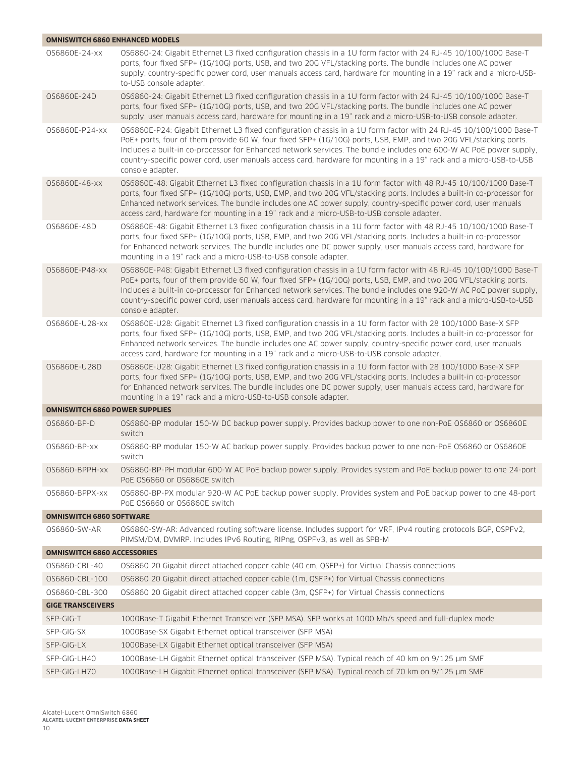| <b>OMNISWITCH 6860 ENHANCED MODELS</b> |                                                                                                                                                                                                                                                                                                                                                                                                                                                                                                      |
|----------------------------------------|------------------------------------------------------------------------------------------------------------------------------------------------------------------------------------------------------------------------------------------------------------------------------------------------------------------------------------------------------------------------------------------------------------------------------------------------------------------------------------------------------|
| 0S6860E-24-xx                          | OS6860-24: Gigabit Ethernet L3 fixed configuration chassis in a 1U form factor with 24 RJ-45 10/100/1000 Base-T<br>ports, four fixed SFP+ (1G/10G) ports, USB, and two 20G VFL/stacking ports. The bundle includes one AC power<br>supply, country-specific power cord, user manuals access card, hardware for mounting in a 19" rack and a micro-USB-<br>to-USB console adapter.                                                                                                                    |
| OS6860E-24D                            | OS6860-24: Gigabit Ethernet L3 fixed configuration chassis in a 1U form factor with 24 RJ-45 10/100/1000 Base-T<br>ports, four fixed SFP+ (1G/10G) ports, USB, and two 20G VFL/stacking ports. The bundle includes one AC power<br>supply, user manuals access card, hardware for mounting in a 19" rack and a micro-USB-to-USB console adapter.                                                                                                                                                     |
| OS6860E-P24-xx                         | OS6860E-P24: Gigabit Ethernet L3 fixed configuration chassis in a 1U form factor with 24 RJ-45 10/100/1000 Base-T<br>PoE+ ports, four of them provide 60 W, four fixed SFP+ (1G/10G) ports, USB, EMP, and two 20G VFL/stacking ports.<br>Includes a built-in co-processor for Enhanced network services. The bundle includes one 600-W AC PoE power supply,<br>country-specific power cord, user manuals access card, hardware for mounting in a 19" rack and a micro-USB-to-USB<br>console adapter. |
| OS6860E-48-xx                          | OS6860E-48: Gigabit Ethernet L3 fixed configuration chassis in a 1U form factor with 48 RJ-45 10/100/1000 Base-T<br>ports, four fixed SFP+ (1G/10G) ports, USB, EMP, and two 20G VFL/stacking ports. Includes a built-in co-processor for<br>Enhanced network services. The bundle includes one AC power supply, country-specific power cord, user manuals<br>access card, hardware for mounting in a 19" rack and a micro-USB-to-USB console adapter.                                               |
| OS6860E-48D                            | OS6860E-48: Gigabit Ethernet L3 fixed configuration chassis in a 1U form factor with 48 RJ-45 10/100/1000 Base-T<br>ports, four fixed SFP+ (1G/10G) ports, USB, EMP, and two 20G VFL/stacking ports. Includes a built-in co-processor<br>for Enhanced network services. The bundle includes one DC power supply, user manuals access card, hardware for<br>mounting in a 19" rack and a micro-USB-to-USB console adapter.                                                                            |
| 0S6860E-P48-xx                         | OS6860E-P48: Gigabit Ethernet L3 fixed configuration chassis in a 1U form factor with 48 RJ-45 10/100/1000 Base-T<br>PoE+ ports, four of them provide 60 W, four fixed SFP+ (1G/10G) ports, USB, EMP, and two 20G VFL/stacking ports.<br>Includes a built-in co-processor for Enhanced network services. The bundle includes one 920-W AC PoE power supply,<br>country-specific power cord, user manuals access card, hardware for mounting in a 19" rack and a micro-USB-to-USB<br>console adapter. |
| 0S6860E-U28-xx                         | OS6860E-U28: Gigabit Ethernet L3 fixed configuration chassis in a 1U form factor with 28 100/1000 Base-X SFP<br>ports, four fixed SFP+ (1G/10G) ports, USB, EMP, and two 20G VFL/stacking ports. Includes a built-in co-processor for<br>Enhanced network services. The bundle includes one AC power supply, country-specific power cord, user manuals<br>access card, hardware for mounting in a 19" rack and a micro-USB-to-USB console adapter.                                                   |
| 0S6860E-U28D                           | OS6860E-U28: Gigabit Ethernet L3 fixed configuration chassis in a 1U form factor with 28 100/1000 Base-X SFP<br>ports, four fixed SFP+ (1G/10G) ports, USB, EMP, and two 20G VFL/stacking ports. Includes a built-in co-processor<br>for Enhanced network services. The bundle includes one DC power supply, user manuals access card, hardware for<br>mounting in a 19" rack and a micro-USB-to-USB console adapter.                                                                                |
| <b>OMNISWITCH 6860 POWER SUPPLIES</b>  |                                                                                                                                                                                                                                                                                                                                                                                                                                                                                                      |
| 0S6860-BP-D                            | OS6860-BP modular 150-W DC backup power supply. Provides backup power to one non-PoE OS6860 or OS6860E<br>switch                                                                                                                                                                                                                                                                                                                                                                                     |
| 0S6860-BP-xx                           | OS6860-BP modular 150-W AC backup power supply. Provides backup power to one non-PoE OS6860 or OS6860E<br>switch                                                                                                                                                                                                                                                                                                                                                                                     |
| OS6860-BPPH-xx                         | OS6860-BP-PH modular 600-W AC PoE backup power supply. Provides system and PoE backup power to one 24-port<br>PoE 0S6860 or 0S6860E switch                                                                                                                                                                                                                                                                                                                                                           |
| OS6860-BPPX-xx                         | OS6860-BP-PX modular 920-W AC PoE backup power supply. Provides system and PoE backup power to one 48-port<br>PoE 0S6860 or 0S6860E switch                                                                                                                                                                                                                                                                                                                                                           |
| <b>OMNISWITCH 6860 SOFTWARE</b>        |                                                                                                                                                                                                                                                                                                                                                                                                                                                                                                      |
| 0S6860-SW-AR                           | OS6860-SW-AR: Advanced routing software license. Includes support for VRF, IPv4 routing protocols BGP, OSPFv2,<br>PIMSM/DM, DVMRP. Includes IPv6 Routing, RIPng, OSPFv3, as well as SPB-M                                                                                                                                                                                                                                                                                                            |
| <b>OMNISWITCH 6860 ACCESSORIES</b>     |                                                                                                                                                                                                                                                                                                                                                                                                                                                                                                      |
| 0S6860-CBL-40                          | OS6860 20 Gigabit direct attached copper cable (40 cm, QSFP+) for Virtual Chassis connections                                                                                                                                                                                                                                                                                                                                                                                                        |
| 0S6860-CBL-100                         | OS6860 20 Gigabit direct attached copper cable (1m, QSFP+) for Virtual Chassis connections                                                                                                                                                                                                                                                                                                                                                                                                           |
| 0S6860-CBL-300                         | OS6860 20 Gigabit direct attached copper cable (3m, QSFP+) for Virtual Chassis connections                                                                                                                                                                                                                                                                                                                                                                                                           |
| <b>GIGE TRANSCEIVERS</b>               |                                                                                                                                                                                                                                                                                                                                                                                                                                                                                                      |
| SFP-GIG-T                              | 1000Base-T Gigabit Ethernet Transceiver (SFP MSA). SFP works at 1000 Mb/s speed and full-duplex mode                                                                                                                                                                                                                                                                                                                                                                                                 |
| SFP-GIG-SX                             | 1000Base-SX Gigabit Ethernet optical transceiver (SFP MSA)                                                                                                                                                                                                                                                                                                                                                                                                                                           |
| SFP-GIG-LX                             | 1000Base-LX Gigabit Ethernet optical transceiver (SFP MSA)                                                                                                                                                                                                                                                                                                                                                                                                                                           |
| SFP-GIG-LH40                           | 1000Base-LH Gigabit Ethernet optical transceiver (SFP MSA). Typical reach of 40 km on 9/125 µm SMF                                                                                                                                                                                                                                                                                                                                                                                                   |
| SFP-GIG-LH70                           | 1000Base-LH Gigabit Ethernet optical transceiver (SFP MSA). Typical reach of 70 km on 9/125 µm SMF                                                                                                                                                                                                                                                                                                                                                                                                   |